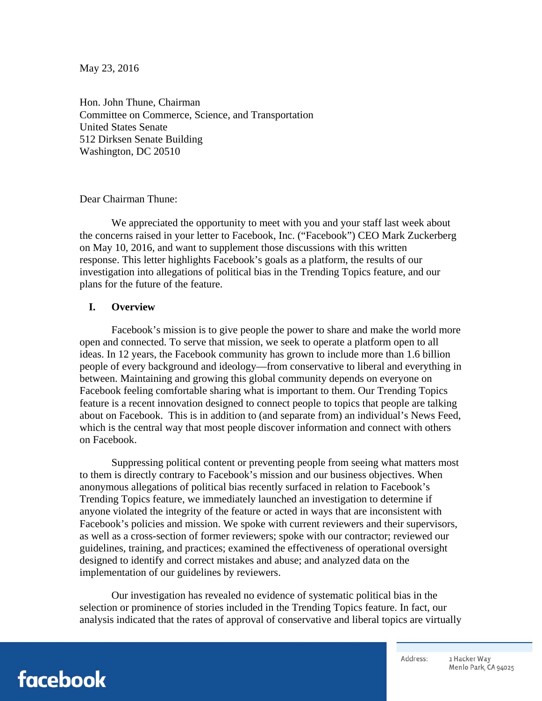May 23, 2016

Hon. John Thune, Chairman Committee on Commerce, Science, and Transportation United States Senate 512 Dirksen Senate Building Washington, DC 20510

Dear Chairman Thune:

We appreciated the opportunity to meet with you and your staff last week about the concerns raised in your letter to Facebook, Inc. ("Facebook") CEO Mark Zuckerberg on May 10, 2016, and want to supplement those discussions with this written response. This letter highlights Facebook's goals as a platform, the results of our investigation into allegations of political bias in the Trending Topics feature, and our plans for the future of the feature.

#### **I. Overview**

Facebook's mission is to give people the power to share and make the world more open and connected. To serve that mission, we seek to operate a platform open to all ideas. In 12 years, the Facebook community has grown to include more than 1.6 billion people of every background and ideology—from conservative to liberal and everything in between. Maintaining and growing this global community depends on everyone on Facebook feeling comfortable sharing what is important to them. Our Trending Topics feature is a recent innovation designed to connect people to topics that people are talking about on Facebook. This is in addition to (and separate from) an individual's News Feed, which is the central way that most people discover information and connect with others on Facebook.

Suppressing political content or preventing people from seeing what matters most to them is directly contrary to Facebook's mission and our business objectives. When anonymous allegations of political bias recently surfaced in relation to Facebook's Trending Topics feature, we immediately launched an investigation to determine if anyone violated the integrity of the feature or acted in ways that are inconsistent with Facebook's policies and mission. We spoke with current reviewers and their supervisors, as well as a cross-section of former reviewers; spoke with our contractor; reviewed our guidelines, training, and practices; examined the effectiveness of operational oversight designed to identify and correct mistakes and abuse; and analyzed data on the implementation of our guidelines by reviewers.

Our investigation has revealed no evidence of systematic political bias in the selection or prominence of stories included in the Trending Topics feature. In fact, our analysis indicated that the rates of approval of conservative and liberal topics are virtually

# facebook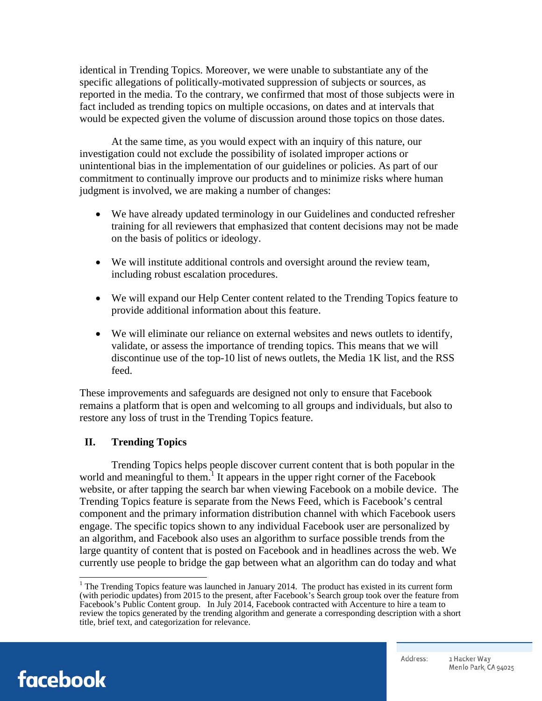identical in Trending Topics. Moreover, we were unable to substantiate any of the specific allegations of politically-motivated suppression of subjects or sources, as reported in the media. To the contrary, we confirmed that most of those subjects were in fact included as trending topics on multiple occasions, on dates and at intervals that would be expected given the volume of discussion around those topics on those dates.

At the same time, as you would expect with an inquiry of this nature, our investigation could not exclude the possibility of isolated improper actions or unintentional bias in the implementation of our guidelines or policies. As part of our commitment to continually improve our products and to minimize risks where human judgment is involved, we are making a number of changes:

- We have already updated terminology in our Guidelines and conducted refresher training for all reviewers that emphasized that content decisions may not be made on the basis of politics or ideology.
- We will institute additional controls and oversight around the review team, including robust escalation procedures.
- We will expand our Help Center content related to the Trending Topics feature to provide additional information about this feature.
- We will eliminate our reliance on external websites and news outlets to identify, validate, or assess the importance of trending topics. This means that we will discontinue use of the top-10 list of news outlets, the Media 1K list, and the RSS feed.

These improvements and safeguards are designed not only to ensure that Facebook remains a platform that is open and welcoming to all groups and individuals, but also to restore any loss of trust in the Trending Topics feature.

#### **II. Trending Topics**

Trending Topics helps people discover current content that is both popular in the world and meaningful to them.<sup>1</sup> It appears in the upper right corner of the Facebook website, or after tapping the search bar when viewing Facebook on a mobile device. The Trending Topics feature is separate from the News Feed, which is Facebook's central component and the primary information distribution channel with which Facebook users engage. The specific topics shown to any individual Facebook user are personalized by an algorithm, and Facebook also uses an algorithm to surface possible trends from the large quantity of content that is posted on Facebook and in headlines across the web. We currently use people to bridge the gap between what an algorithm can do today and what



The Trending Topics feature was launched in January 2014. The product has existed in its current form (with periodic updates) from 2015 to the present, after Facebook's Search group took over the feature from Facebook's Public Content group. In July 2014, Facebook contracted with Accenture to hire a team to review the topics generated by the trending algorithm and generate a corresponding description with a short title, brief text, and categorization for relevance.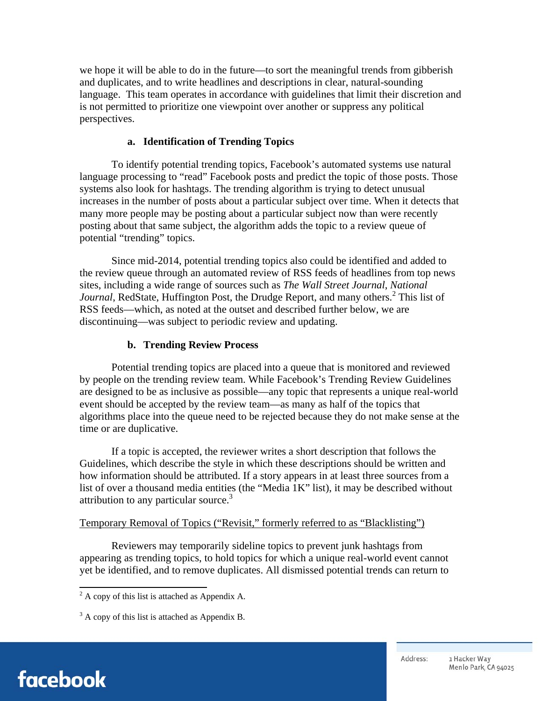we hope it will be able to do in the future—to sort the meaningful trends from gibberish and duplicates, and to write headlines and descriptions in clear, natural-sounding language. This team operates in accordance with guidelines that limit their discretion and is not permitted to prioritize one viewpoint over another or suppress any political perspectives.

#### **a. Identification of Trending Topics**

To identify potential trending topics, Facebook's automated systems use natural language processing to "read" Facebook posts and predict the topic of those posts. Those systems also look for hashtags. The trending algorithm is trying to detect unusual increases in the number of posts about a particular subject over time. When it detects that many more people may be posting about a particular subject now than were recently posting about that same subject, the algorithm adds the topic to a review queue of potential "trending" topics.

Since mid-2014, potential trending topics also could be identified and added to the review queue through an automated review of RSS feeds of headlines from top news sites, including a wide range of sources such as *The Wall Street Journal*, *National*  Journal, RedState, Huffington Post, the Drudge Report, and many others.<sup>2</sup> This list of RSS feeds—which, as noted at the outset and described further below, we are discontinuing—was subject to periodic review and updating.

### **b. Trending Review Process**

Potential trending topics are placed into a queue that is monitored and reviewed by people on the trending review team. While Facebook's Trending Review Guidelines are designed to be as inclusive as possible—any topic that represents a unique real-world event should be accepted by the review team—as many as half of the topics that algorithms place into the queue need to be rejected because they do not make sense at the time or are duplicative.

If a topic is accepted, the reviewer writes a short description that follows the Guidelines, which describe the style in which these descriptions should be written and how information should be attributed. If a story appears in at least three sources from a list of over a thousand media entities (the "Media 1K" list), it may be described without attribution to any particular source. $3$ 

#### Temporary Removal of Topics ("Revisit," formerly referred to as "Blacklisting")

Reviewers may temporarily sideline topics to prevent junk hashtags from appearing as trending topics, to hold topics for which a unique real-world event cannot yet be identified, and to remove duplicates. All dismissed potential trends can return to



<sup>&</sup>lt;sup>2</sup> A copy of this list is attached as Appendix A.

 $3<sup>3</sup>$  A copy of this list is attached as Appendix B.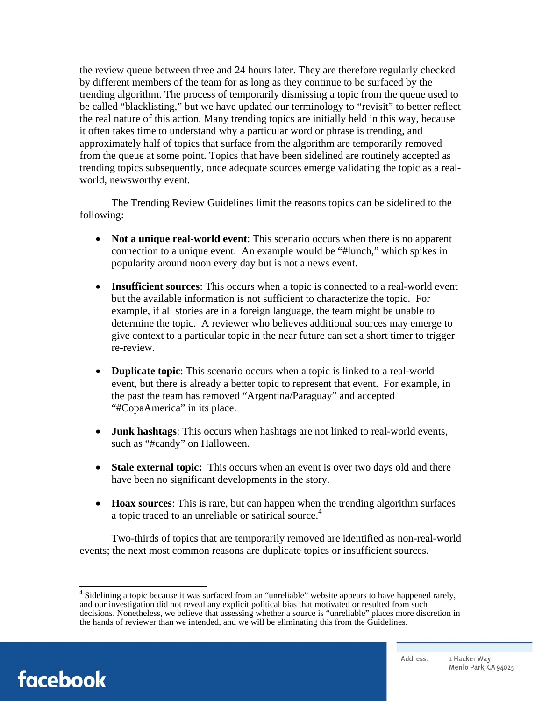the review queue between three and 24 hours later. They are therefore regularly checked by different members of the team for as long as they continue to be surfaced by the trending algorithm. The process of temporarily dismissing a topic from the queue used to be called "blacklisting," but we have updated our terminology to "revisit" to better reflect the real nature of this action. Many trending topics are initially held in this way, because it often takes time to understand why a particular word or phrase is trending, and approximately half of topics that surface from the algorithm are temporarily removed from the queue at some point. Topics that have been sidelined are routinely accepted as trending topics subsequently, once adequate sources emerge validating the topic as a realworld, newsworthy event.

The Trending Review Guidelines limit the reasons topics can be sidelined to the following:

- Not a unique real-world event: This scenario occurs when there is no apparent connection to a unique event. An example would be "#lunch," which spikes in popularity around noon every day but is not a news event.
- **Insufficient sources**: This occurs when a topic is connected to a real-world event but the available information is not sufficient to characterize the topic. For example, if all stories are in a foreign language, the team might be unable to determine the topic. A reviewer who believes additional sources may emerge to give context to a particular topic in the near future can set a short timer to trigger re-review.
- **Duplicate topic**: This scenario occurs when a topic is linked to a real-world event, but there is already a better topic to represent that event. For example, in the past the team has removed "Argentina/Paraguay" and accepted "#CopaAmerica" in its place.
- **Junk hashtags**: This occurs when hashtags are not linked to real-world events, such as "#candy" on Halloween.
- **Stale external topic:** This occurs when an event is over two days old and there have been no significant developments in the story.
- **Hoax sources**: This is rare, but can happen when the trending algorithm surfaces a topic traced to an unreliable or satirical source.<sup>4</sup>

Two-thirds of topics that are temporarily removed are identified as non-real-world events; the next most common reasons are duplicate topics or insufficient sources.



<sup>&</sup>lt;sup>4</sup> Sidelining a topic because it was surfaced from an "unreliable" website appears to have happened rarely, and our investigation did not reveal any explicit political bias that motivated or resulted from such decisions. Nonetheless, we believe that assessing whether a source is "unreliable" places more discretion in the hands of reviewer than we intended, and we will be eliminating this from the Guidelines.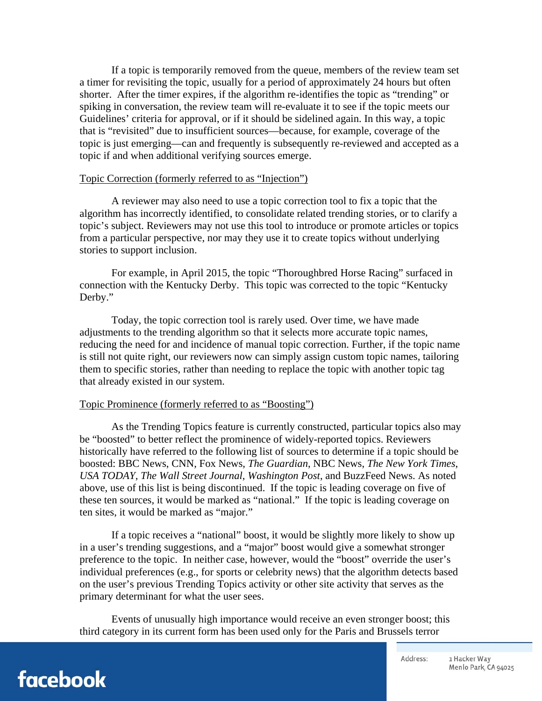If a topic is temporarily removed from the queue, members of the review team set a timer for revisiting the topic, usually for a period of approximately 24 hours but often shorter. After the timer expires, if the algorithm re-identifies the topic as "trending" or spiking in conversation, the review team will re-evaluate it to see if the topic meets our Guidelines' criteria for approval, or if it should be sidelined again. In this way, a topic that is "revisited" due to insufficient sources—because, for example, coverage of the topic is just emerging—can and frequently is subsequently re-reviewed and accepted as a topic if and when additional verifying sources emerge.

#### Topic Correction (formerly referred to as "Injection")

A reviewer may also need to use a topic correction tool to fix a topic that the algorithm has incorrectly identified, to consolidate related trending stories, or to clarify a topic's subject. Reviewers may not use this tool to introduce or promote articles or topics from a particular perspective, nor may they use it to create topics without underlying stories to support inclusion.

For example, in April 2015, the topic "Thoroughbred Horse Racing" surfaced in connection with the Kentucky Derby. This topic was corrected to the topic "Kentucky Derby."

Today, the topic correction tool is rarely used. Over time, we have made adjustments to the trending algorithm so that it selects more accurate topic names, reducing the need for and incidence of manual topic correction. Further, if the topic name is still not quite right, our reviewers now can simply assign custom topic names, tailoring them to specific stories, rather than needing to replace the topic with another topic tag that already existed in our system.

#### Topic Prominence (formerly referred to as "Boosting")

As the Trending Topics feature is currently constructed, particular topics also may be "boosted" to better reflect the prominence of widely-reported topics. Reviewers historically have referred to the following list of sources to determine if a topic should be boosted: BBC News, CNN, Fox News, *The Guardian*, NBC News, *The New York Times*, *USA TODAY*, *The Wall Street Journal*, *Washington Post*, and BuzzFeed News. As noted above, use of this list is being discontinued. If the topic is leading coverage on five of these ten sources, it would be marked as "national." If the topic is leading coverage on ten sites, it would be marked as "major."

If a topic receives a "national" boost, it would be slightly more likely to show up in a user's trending suggestions, and a "major" boost would give a somewhat stronger preference to the topic. In neither case, however, would the "boost" override the user's individual preferences (e.g., for sports or celebrity news) that the algorithm detects based on the user's previous Trending Topics activity or other site activity that serves as the primary determinant for what the user sees.

Events of unusually high importance would receive an even stronger boost; this third category in its current form has been used only for the Paris and Brussels terror

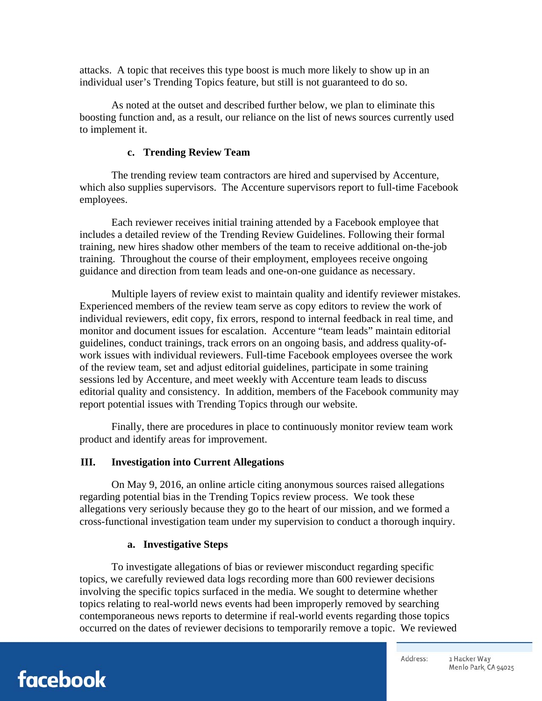attacks. A topic that receives this type boost is much more likely to show up in an individual user's Trending Topics feature, but still is not guaranteed to do so.

As noted at the outset and described further below, we plan to eliminate this boosting function and, as a result, our reliance on the list of news sources currently used to implement it.

#### **c. Trending Review Team**

The trending review team contractors are hired and supervised by Accenture, which also supplies supervisors. The Accenture supervisors report to full-time Facebook employees.

Each reviewer receives initial training attended by a Facebook employee that includes a detailed review of the Trending Review Guidelines. Following their formal training, new hires shadow other members of the team to receive additional on-the-job training. Throughout the course of their employment, employees receive ongoing guidance and direction from team leads and one-on-one guidance as necessary.

Multiple layers of review exist to maintain quality and identify reviewer mistakes. Experienced members of the review team serve as copy editors to review the work of individual reviewers, edit copy, fix errors, respond to internal feedback in real time, and monitor and document issues for escalation. Accenture "team leads" maintain editorial guidelines, conduct trainings, track errors on an ongoing basis, and address quality-ofwork issues with individual reviewers. Full-time Facebook employees oversee the work of the review team, set and adjust editorial guidelines, participate in some training sessions led by Accenture, and meet weekly with Accenture team leads to discuss editorial quality and consistency. In addition, members of the Facebook community may report potential issues with Trending Topics through our website.

Finally, there are procedures in place to continuously monitor review team work product and identify areas for improvement.

#### **III. Investigation into Current Allegations**

On May 9, 2016, an online article citing anonymous sources raised allegations regarding potential bias in the Trending Topics review process. We took these allegations very seriously because they go to the heart of our mission, and we formed a cross-functional investigation team under my supervision to conduct a thorough inquiry.

#### **a. Investigative Steps**

To investigate allegations of bias or reviewer misconduct regarding specific topics, we carefully reviewed data logs recording more than 600 reviewer decisions involving the specific topics surfaced in the media. We sought to determine whether topics relating to real-world news events had been improperly removed by searching contemporaneous news reports to determine if real-world events regarding those topics occurred on the dates of reviewer decisions to temporarily remove a topic. We reviewed

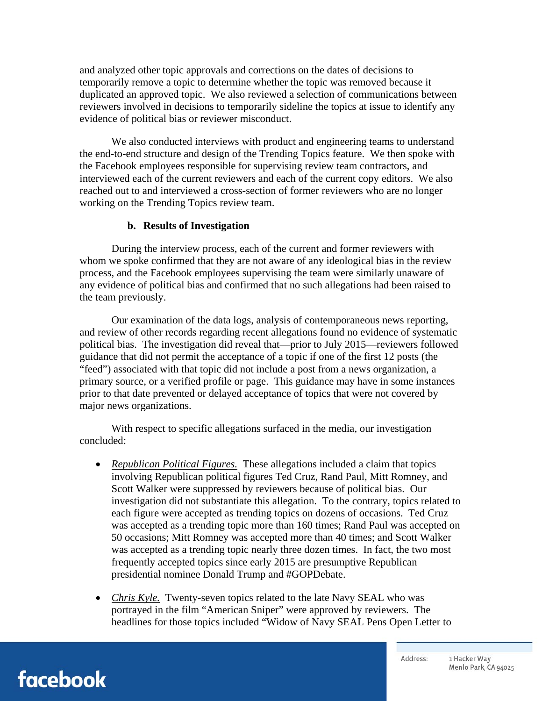and analyzed other topic approvals and corrections on the dates of decisions to temporarily remove a topic to determine whether the topic was removed because it duplicated an approved topic. We also reviewed a selection of communications between reviewers involved in decisions to temporarily sideline the topics at issue to identify any evidence of political bias or reviewer misconduct.

We also conducted interviews with product and engineering teams to understand the end-to-end structure and design of the Trending Topics feature. We then spoke with the Facebook employees responsible for supervising review team contractors, and interviewed each of the current reviewers and each of the current copy editors. We also reached out to and interviewed a cross-section of former reviewers who are no longer working on the Trending Topics review team.

#### **b. Results of Investigation**

During the interview process, each of the current and former reviewers with whom we spoke confirmed that they are not aware of any ideological bias in the review process, and the Facebook employees supervising the team were similarly unaware of any evidence of political bias and confirmed that no such allegations had been raised to the team previously.

Our examination of the data logs, analysis of contemporaneous news reporting, and review of other records regarding recent allegations found no evidence of systematic political bias. The investigation did reveal that—prior to July 2015—reviewers followed guidance that did not permit the acceptance of a topic if one of the first 12 posts (the "feed") associated with that topic did not include a post from a news organization, a primary source, or a verified profile or page. This guidance may have in some instances prior to that date prevented or delayed acceptance of topics that were not covered by major news organizations.

With respect to specific allegations surfaced in the media, our investigation concluded:

- *Republican Political Figures.* These allegations included a claim that topics involving Republican political figures Ted Cruz, Rand Paul, Mitt Romney, and Scott Walker were suppressed by reviewers because of political bias. Our investigation did not substantiate this allegation. To the contrary, topics related to each figure were accepted as trending topics on dozens of occasions. Ted Cruz was accepted as a trending topic more than 160 times; Rand Paul was accepted on 50 occasions; Mitt Romney was accepted more than 40 times; and Scott Walker was accepted as a trending topic nearly three dozen times. In fact, the two most frequently accepted topics since early 2015 are presumptive Republican presidential nominee Donald Trump and #GOPDebate.
- *Chris Kyle.* Twenty-seven topics related to the late Navy SEAL who was portrayed in the film "American Sniper" were approved by reviewers. The headlines for those topics included "Widow of Navy SEAL Pens Open Letter to

## facebook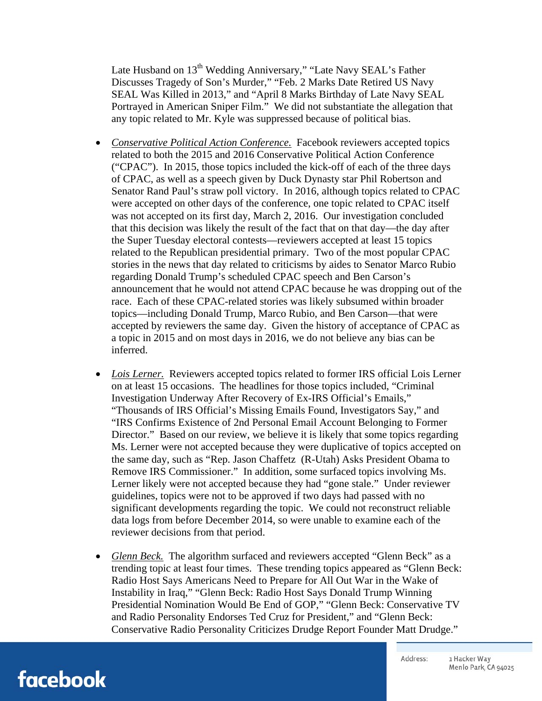Late Husband on 13<sup>th</sup> Wedding Anniversary," "Late Navy SEAL's Father Discusses Tragedy of Son's Murder," "Feb. 2 Marks Date Retired US Navy SEAL Was Killed in 2013," and "April 8 Marks Birthday of Late Navy SEAL Portrayed in American Sniper Film." We did not substantiate the allegation that any topic related to Mr. Kyle was suppressed because of political bias.

- Conservative Political Action Conference. Facebook reviewers accepted topics related to both the 2015 and 2016 Conservative Political Action Conference ("CPAC"). In 2015, those topics included the kick-off of each of the three days of CPAC, as well as a speech given by Duck Dynasty star Phil Robertson and Senator Rand Paul's straw poll victory. In 2016, although topics related to CPAC were accepted on other days of the conference, one topic related to CPAC itself was not accepted on its first day, March 2, 2016. Our investigation concluded that this decision was likely the result of the fact that on that day—the day after the Super Tuesday electoral contests—reviewers accepted at least 15 topics related to the Republican presidential primary. Two of the most popular CPAC stories in the news that day related to criticisms by aides to Senator Marco Rubio regarding Donald Trump's scheduled CPAC speech and Ben Carson's announcement that he would not attend CPAC because he was dropping out of the race. Each of these CPAC-related stories was likely subsumed within broader topics—including Donald Trump, Marco Rubio, and Ben Carson—that were accepted by reviewers the same day. Given the history of acceptance of CPAC as a topic in 2015 and on most days in 2016, we do not believe any bias can be inferred.
- Lois Lerner. Reviewers accepted topics related to former IRS official Lois Lerner on at least 15 occasions. The headlines for those topics included, "Criminal Investigation Underway After Recovery of Ex-IRS Official's Emails," "Thousands of IRS Official's Missing Emails Found, Investigators Say," and "IRS Confirms Existence of 2nd Personal Email Account Belonging to Former Director." Based on our review, we believe it is likely that some topics regarding Ms. Lerner were not accepted because they were duplicative of topics accepted on the same day, such as "Rep. Jason Chaffetz (R-Utah) Asks President Obama to Remove IRS Commissioner." In addition, some surfaced topics involving Ms. Lerner likely were not accepted because they had "gone stale." Under reviewer guidelines, topics were not to be approved if two days had passed with no significant developments regarding the topic. We could not reconstruct reliable data logs from before December 2014, so were unable to examine each of the reviewer decisions from that period.
- *Glenn Beck.* The algorithm surfaced and reviewers accepted "Glenn Beck" as a trending topic at least four times. These trending topics appeared as "Glenn Beck: Radio Host Says Americans Need to Prepare for All Out War in the Wake of Instability in Iraq," "Glenn Beck: Radio Host Says Donald Trump Winning Presidential Nomination Would Be End of GOP," "Glenn Beck: Conservative TV and Radio Personality Endorses Ted Cruz for President," and "Glenn Beck: Conservative Radio Personality Criticizes Drudge Report Founder Matt Drudge."

facebook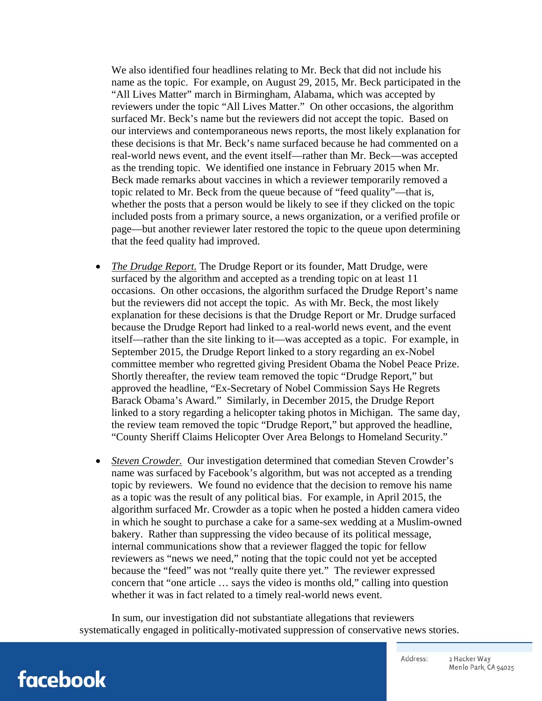We also identified four headlines relating to Mr. Beck that did not include his name as the topic. For example, on August 29, 2015, Mr. Beck participated in the "All Lives Matter" march in Birmingham, Alabama, which was accepted by reviewers under the topic "All Lives Matter." On other occasions, the algorithm surfaced Mr. Beck's name but the reviewers did not accept the topic. Based on our interviews and contemporaneous news reports, the most likely explanation for these decisions is that Mr. Beck's name surfaced because he had commented on a real-world news event, and the event itself—rather than Mr. Beck—was accepted as the trending topic. We identified one instance in February 2015 when Mr. Beck made remarks about vaccines in which a reviewer temporarily removed a topic related to Mr. Beck from the queue because of "feed quality"—that is, whether the posts that a person would be likely to see if they clicked on the topic included posts from a primary source, a news organization, or a verified profile or page—but another reviewer later restored the topic to the queue upon determining that the feed quality had improved.

- *The Drudge Report.* The Drudge Report or its founder, Matt Drudge, were surfaced by the algorithm and accepted as a trending topic on at least 11 occasions. On other occasions, the algorithm surfaced the Drudge Report's name but the reviewers did not accept the topic. As with Mr. Beck, the most likely explanation for these decisions is that the Drudge Report or Mr. Drudge surfaced because the Drudge Report had linked to a real-world news event, and the event itself—rather than the site linking to it—was accepted as a topic. For example, in September 2015, the Drudge Report linked to a story regarding an ex-Nobel committee member who regretted giving President Obama the Nobel Peace Prize. Shortly thereafter, the review team removed the topic "Drudge Report," but approved the headline, "Ex-Secretary of Nobel Commission Says He Regrets Barack Obama's Award." Similarly, in December 2015, the Drudge Report linked to a story regarding a helicopter taking photos in Michigan. The same day, the review team removed the topic "Drudge Report," but approved the headline, "County Sheriff Claims Helicopter Over Area Belongs to Homeland Security."
- *Steven Crowder.* Our investigation determined that comedian Steven Crowder's name was surfaced by Facebook's algorithm, but was not accepted as a trending topic by reviewers. We found no evidence that the decision to remove his name as a topic was the result of any political bias. For example, in April 2015, the algorithm surfaced Mr. Crowder as a topic when he posted a hidden camera video in which he sought to purchase a cake for a same-sex wedding at a Muslim-owned bakery. Rather than suppressing the video because of its political message, internal communications show that a reviewer flagged the topic for fellow reviewers as "news we need," noting that the topic could not yet be accepted because the "feed" was not "really quite there yet." The reviewer expressed concern that "one article … says the video is months old," calling into question whether it was in fact related to a timely real-world news event.

In sum, our investigation did not substantiate allegations that reviewers systematically engaged in politically-motivated suppression of conservative news stories.

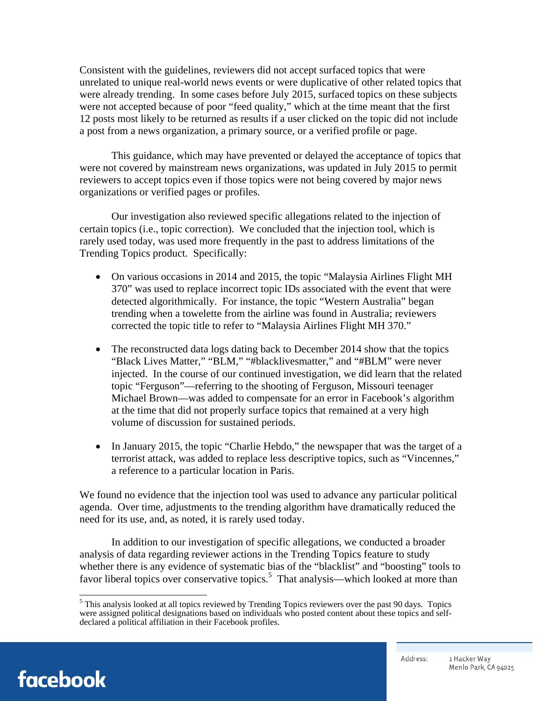Consistent with the guidelines, reviewers did not accept surfaced topics that were unrelated to unique real-world news events or were duplicative of other related topics that were already trending. In some cases before July 2015, surfaced topics on these subjects were not accepted because of poor "feed quality," which at the time meant that the first 12 posts most likely to be returned as results if a user clicked on the topic did not include a post from a news organization, a primary source, or a verified profile or page.

This guidance, which may have prevented or delayed the acceptance of topics that were not covered by mainstream news organizations, was updated in July 2015 to permit reviewers to accept topics even if those topics were not being covered by major news organizations or verified pages or profiles.

Our investigation also reviewed specific allegations related to the injection of certain topics (i.e., topic correction). We concluded that the injection tool, which is rarely used today, was used more frequently in the past to address limitations of the Trending Topics product. Specifically:

- On various occasions in 2014 and 2015, the topic "Malaysia Airlines Flight MH 370" was used to replace incorrect topic IDs associated with the event that were detected algorithmically. For instance, the topic "Western Australia" began trending when a towelette from the airline was found in Australia; reviewers corrected the topic title to refer to "Malaysia Airlines Flight MH 370."
- The reconstructed data logs dating back to December 2014 show that the topics "Black Lives Matter," "BLM," "#blacklivesmatter," and "#BLM" were never injected. In the course of our continued investigation, we did learn that the related topic "Ferguson"—referring to the shooting of Ferguson, Missouri teenager Michael Brown—was added to compensate for an error in Facebook's algorithm at the time that did not properly surface topics that remained at a very high volume of discussion for sustained periods.
- In January 2015, the topic "Charlie Hebdo," the newspaper that was the target of a terrorist attack, was added to replace less descriptive topics, such as "Vincennes," a reference to a particular location in Paris.

We found no evidence that the injection tool was used to advance any particular political agenda. Over time, adjustments to the trending algorithm have dramatically reduced the need for its use, and, as noted, it is rarely used today.

In addition to our investigation of specific allegations, we conducted a broader analysis of data regarding reviewer actions in the Trending Topics feature to study whether there is any evidence of systematic bias of the "blacklist" and "boosting" tools to favor liberal topics over conservative topics.<sup>5</sup> That analysis—which looked at more than



This analysis looked at all topics reviewed by Trending Topics reviewers over the past 90 days. Topics were assigned political designations based on individuals who posted content about these topics and selfdeclared a political affiliation in their Facebook profiles.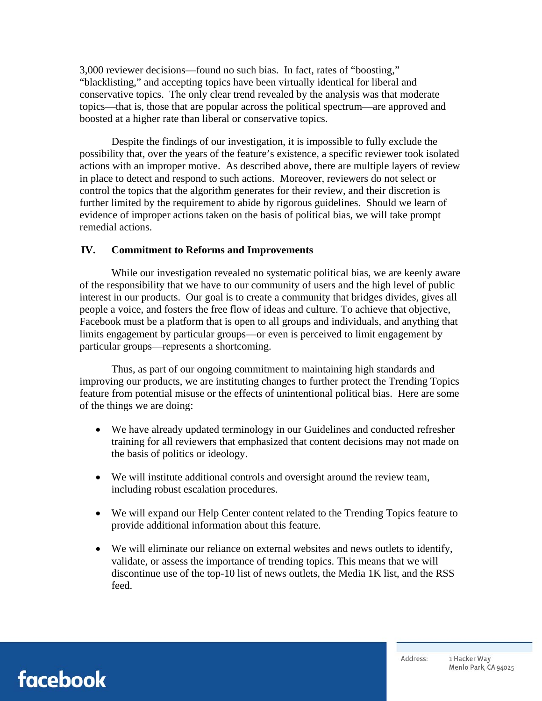3,000 reviewer decisions—found no such bias. In fact, rates of "boosting," "blacklisting," and accepting topics have been virtually identical for liberal and conservative topics. The only clear trend revealed by the analysis was that moderate topics—that is, those that are popular across the political spectrum—are approved and boosted at a higher rate than liberal or conservative topics.

Despite the findings of our investigation, it is impossible to fully exclude the possibility that, over the years of the feature's existence, a specific reviewer took isolated actions with an improper motive. As described above, there are multiple layers of review in place to detect and respond to such actions. Moreover, reviewers do not select or control the topics that the algorithm generates for their review, and their discretion is further limited by the requirement to abide by rigorous guidelines. Should we learn of evidence of improper actions taken on the basis of political bias, we will take prompt remedial actions.

#### **IV. Commitment to Reforms and Improvements**

While our investigation revealed no systematic political bias, we are keenly aware of the responsibility that we have to our community of users and the high level of public interest in our products. Our goal is to create a community that bridges divides, gives all people a voice, and fosters the free flow of ideas and culture. To achieve that objective, Facebook must be a platform that is open to all groups and individuals, and anything that limits engagement by particular groups—or even is perceived to limit engagement by particular groups—represents a shortcoming.

Thus, as part of our ongoing commitment to maintaining high standards and improving our products, we are instituting changes to further protect the Trending Topics feature from potential misuse or the effects of unintentional political bias. Here are some of the things we are doing:

- We have already updated terminology in our Guidelines and conducted refresher training for all reviewers that emphasized that content decisions may not made on the basis of politics or ideology.
- We will institute additional controls and oversight around the review team, including robust escalation procedures.
- We will expand our Help Center content related to the Trending Topics feature to provide additional information about this feature.
- We will eliminate our reliance on external websites and news outlets to identify, validate, or assess the importance of trending topics. This means that we will discontinue use of the top-10 list of news outlets, the Media 1K list, and the RSS feed.